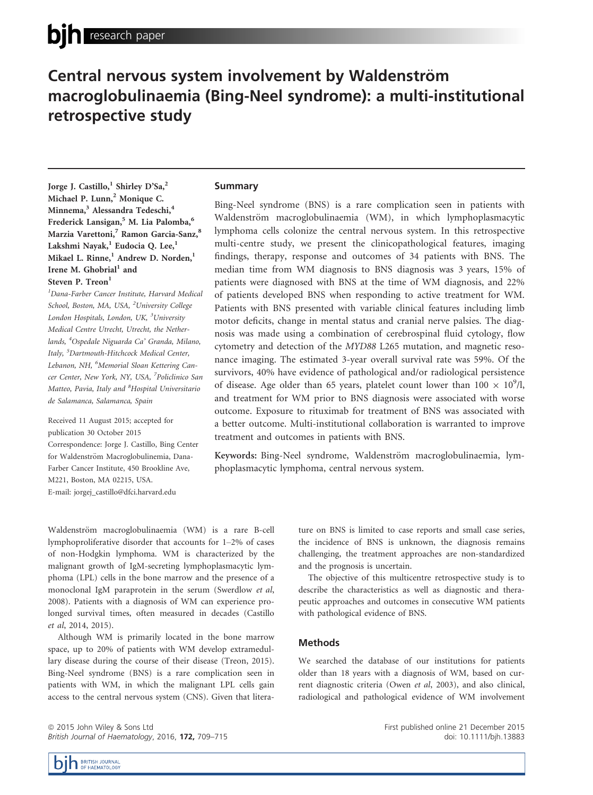# Central nervous system involvement by Waldenström macroglobulinaemia (Bing-Neel syndrome): a multi-institutional retrospective study

Jorge J. Castillo,<sup>1</sup> Shirley D'Sa,<sup>2</sup> Michael P. Lunn,<sup>2</sup> Monique C. Minnema,<sup>3</sup> Alessandra Tedeschi,<sup>4</sup> Frederick Lansigan,<sup>5</sup> M. Lia Palomba,<sup>6</sup> Marzia Varettoni,<sup>7</sup> Ramon Garcia-Sanz,<sup>8</sup> Lakshmi Nayak, $<sup>1</sup>$  Eudocia Q. Lee, $<sup>1</sup>$ </sup></sup> Mikael L. Rinne,<sup>1</sup> Andrew D. Norden,<sup>1</sup> Irene M. Ghobrial<sup>1</sup> and Steven P. Treon<sup>1</sup>

1 Dana-Farber Cancer Institute, Harvard Medical School, Boston, MA, USA, <sup>2</sup>University College London Hospitals, London, UK, <sup>3</sup>University Medical Centre Utrecht, Utrecht, the Netherlands, <sup>4</sup>Ospedale Niguarda Ca' Granda, Milano, Italy, <sup>5</sup>Dartmouth-Hitchcock Medical Center, Lebanon, NH, <sup>6</sup>Memorial Sloan Kettering Cancer Center, New York, NY, USA, <sup>7</sup>Policlinico San Matteo, Pavia, Italy and <sup>8</sup>Hospital Universitario de Salamanca, Salamanca, Spain

Received 11 August 2015; accepted for publication 30 October 2015 Correspondence: Jorge J. Castillo, Bing Center for Waldenström Macroglobulinemia, Dana-Farber Cancer Institute, 450 Brookline Ave, M221, Boston, MA 02215, USA. E-mail: jorgej\_castillo@dfci.harvard.edu

### Summary

Bing-Neel syndrome (BNS) is a rare complication seen in patients with Waldenström macroglobulinaemia (WM), in which lymphoplasmacytic lymphoma cells colonize the central nervous system. In this retrospective multi-centre study, we present the clinicopathological features, imaging findings, therapy, response and outcomes of 34 patients with BNS. The median time from WM diagnosis to BNS diagnosis was 3 years, 15% of patients were diagnosed with BNS at the time of WM diagnosis, and 22% of patients developed BNS when responding to active treatment for WM. Patients with BNS presented with variable clinical features including limb motor deficits, change in mental status and cranial nerve palsies. The diagnosis was made using a combination of cerebrospinal fluid cytology, flow cytometry and detection of the MYD88 L265 mutation, and magnetic resonance imaging. The estimated 3-year overall survival rate was 59%. Of the survivors, 40% have evidence of pathological and/or radiological persistence of disease. Age older than 65 years, platelet count lower than  $100 \times 10^9$ /l, and treatment for WM prior to BNS diagnosis were associated with worse outcome. Exposure to rituximab for treatment of BNS was associated with a better outcome. Multi-institutional collaboration is warranted to improve treatment and outcomes in patients with BNS.

Keywords: Bing-Neel syndrome, Waldenström macroglobulinaemia, lymphoplasmacytic lymphoma, central nervous system.

Waldenström macroglobulinaemia (WM) is a rare B-cell lymphoproliferative disorder that accounts for 1–2% of cases of non-Hodgkin lymphoma. WM is characterized by the malignant growth of IgM-secreting lymphoplasmacytic lymphoma (LPL) cells in the bone marrow and the presence of a monoclonal IgM paraprotein in the serum (Swerdlow et al, 2008). Patients with a diagnosis of WM can experience prolonged survival times, often measured in decades (Castillo et al, 2014, 2015).

Although WM is primarily located in the bone marrow space, up to 20% of patients with WM develop extramedullary disease during the course of their disease (Treon, 2015). Bing-Neel syndrome (BNS) is a rare complication seen in patients with WM, in which the malignant LPL cells gain access to the central nervous system (CNS). Given that litera-

ª 2015 John Wiley & Sons Ltd British Journal of Haematology, 2016, 172, 709-715 ture on BNS is limited to case reports and small case series, the incidence of BNS is unknown, the diagnosis remains challenging, the treatment approaches are non-standardized and the prognosis is uncertain.

The objective of this multicentre retrospective study is to describe the characteristics as well as diagnostic and therapeutic approaches and outcomes in consecutive WM patients with pathological evidence of BNS.

## Methods

We searched the database of our institutions for patients older than 18 years with a diagnosis of WM, based on current diagnostic criteria (Owen et al, 2003), and also clinical, radiological and pathological evidence of WM involvement

> First published online 21 December 2015 doi: 10.1111/bjh.13883

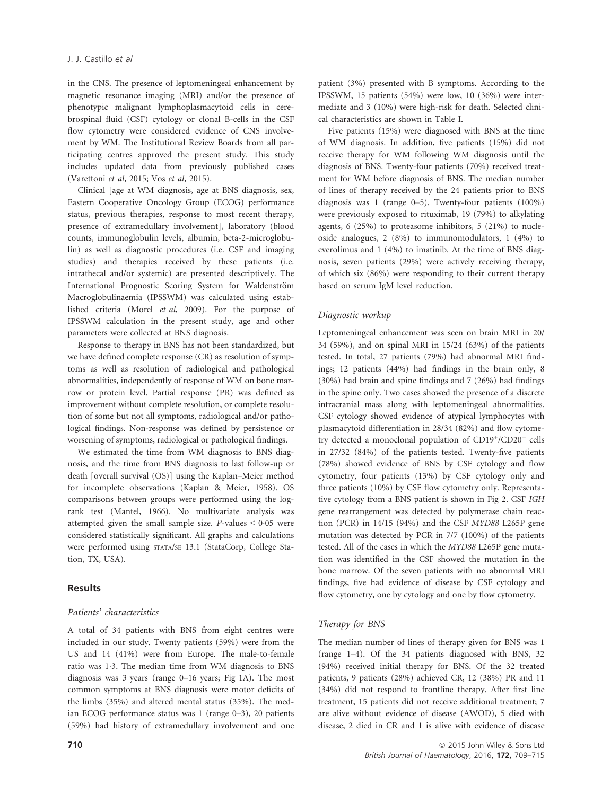in the CNS. The presence of leptomeningeal enhancement by magnetic resonance imaging (MRI) and/or the presence of phenotypic malignant lymphoplasmacytoid cells in cerebrospinal fluid (CSF) cytology or clonal B-cells in the CSF flow cytometry were considered evidence of CNS involvement by WM. The Institutional Review Boards from all participating centres approved the present study. This study includes updated data from previously published cases (Varettoni et al, 2015; Vos et al, 2015).

Clinical [age at WM diagnosis, age at BNS diagnosis, sex, Eastern Cooperative Oncology Group (ECOG) performance status, previous therapies, response to most recent therapy, presence of extramedullary involvement], laboratory (blood counts, immunoglobulin levels, albumin, beta-2-microglobulin) as well as diagnostic procedures (i.e. CSF and imaging studies) and therapies received by these patients (i.e. intrathecal and/or systemic) are presented descriptively. The International Prognostic Scoring System for Waldenström Macroglobulinaemia (IPSSWM) was calculated using established criteria (Morel et al, 2009). For the purpose of IPSSWM calculation in the present study, age and other parameters were collected at BNS diagnosis.

Response to therapy in BNS has not been standardized, but we have defined complete response (CR) as resolution of symptoms as well as resolution of radiological and pathological abnormalities, independently of response of WM on bone marrow or protein level. Partial response (PR) was defined as improvement without complete resolution, or complete resolution of some but not all symptoms, radiological and/or pathological findings. Non-response was defined by persistence or worsening of symptoms, radiological or pathological findings.

We estimated the time from WM diagnosis to BNS diagnosis, and the time from BNS diagnosis to last follow-up or death [overall survival (OS)] using the Kaplan–Meier method for incomplete observations (Kaplan & Meier, 1958). OS comparisons between groups were performed using the logrank test (Mantel, 1966). No multivariate analysis was attempted given the small sample size.  $P$ -values <  $0.05$  were considered statistically significant. All graphs and calculations were performed using STATA/SE 13.1 (StataCorp, College Station, TX, USA).

#### Results

#### Patients' characteristics

A total of 34 patients with BNS from eight centres were included in our study. Twenty patients (59%) were from the US and 14 (41%) were from Europe. The male-to-female ratio was 13. The median time from WM diagnosis to BNS diagnosis was 3 years (range 0–16 years; Fig 1A). The most common symptoms at BNS diagnosis were motor deficits of the limbs (35%) and altered mental status (35%). The median ECOG performance status was 1 (range 0–3), 20 patients (59%) had history of extramedullary involvement and one

patient (3%) presented with B symptoms. According to the IPSSWM, 15 patients (54%) were low, 10 (36%) were intermediate and 3 (10%) were high-risk for death. Selected clinical characteristics are shown in Table I.

Five patients (15%) were diagnosed with BNS at the time of WM diagnosis. In addition, five patients (15%) did not receive therapy for WM following WM diagnosis until the diagnosis of BNS. Twenty-four patients (70%) received treatment for WM before diagnosis of BNS. The median number of lines of therapy received by the 24 patients prior to BNS diagnosis was 1 (range 0–5). Twenty-four patients (100%) were previously exposed to rituximab, 19 (79%) to alkylating agents, 6 (25%) to proteasome inhibitors, 5 (21%) to nucleoside analogues, 2 (8%) to immunomodulators, 1 (4%) to everolimus and 1 (4%) to imatinib. At the time of BNS diagnosis, seven patients (29%) were actively receiving therapy, of which six (86%) were responding to their current therapy based on serum IgM level reduction.

#### Diagnostic workup

Leptomeningeal enhancement was seen on brain MRI in 20/ 34 (59%), and on spinal MRI in 15/24 (63%) of the patients tested. In total, 27 patients (79%) had abnormal MRI findings; 12 patients (44%) had findings in the brain only, 8 (30%) had brain and spine findings and 7 (26%) had findings in the spine only. Two cases showed the presence of a discrete intracranial mass along with leptomeningeal abnormalities. CSF cytology showed evidence of atypical lymphocytes with plasmacytoid differentiation in 28/34 (82%) and flow cytometry detected a monoclonal population of CD19+/CD20+ cells in 27/32 (84%) of the patients tested. Twenty-five patients (78%) showed evidence of BNS by CSF cytology and flow cytometry, four patients (13%) by CSF cytology only and three patients (10%) by CSF flow cytometry only. Representative cytology from a BNS patient is shown in Fig 2. CSF IGH gene rearrangement was detected by polymerase chain reaction (PCR) in 14/15 (94%) and the CSF MYD88 L265P gene mutation was detected by PCR in 7/7 (100%) of the patients tested. All of the cases in which the MYD88 L265P gene mutation was identified in the CSF showed the mutation in the bone marrow. Of the seven patients with no abnormal MRI findings, five had evidence of disease by CSF cytology and flow cytometry, one by cytology and one by flow cytometry.

#### Therapy for BNS

The median number of lines of therapy given for BNS was 1 (range 1–4). Of the 34 patients diagnosed with BNS, 32 (94%) received initial therapy for BNS. Of the 32 treated patients, 9 patients (28%) achieved CR, 12 (38%) PR and 11 (34%) did not respond to frontline therapy. After first line treatment, 15 patients did not receive additional treatment; 7 are alive without evidence of disease (AWOD), 5 died with disease, 2 died in CR and 1 is alive with evidence of disease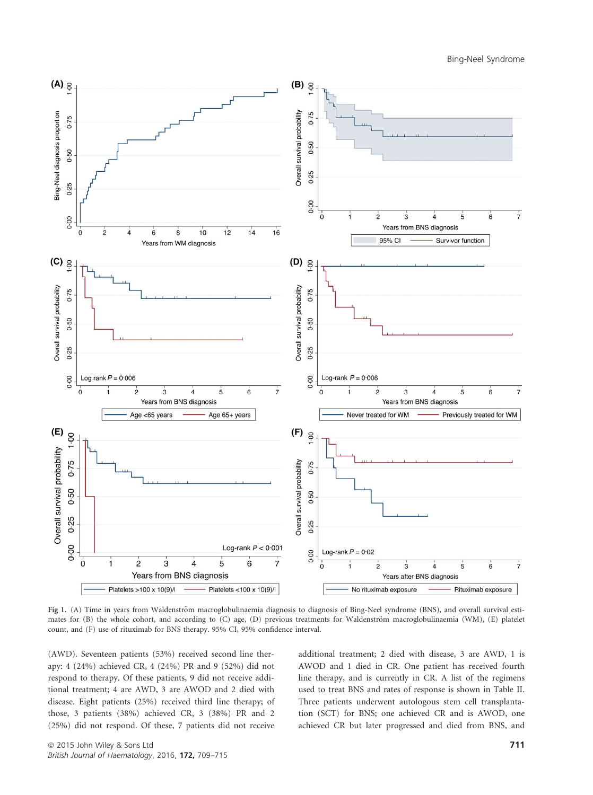Bing-Neel Syndrome



Fig 1. (A) Time in years from Waldenström macroglobulinaemia diagnosis to diagnosis of Bing-Neel syndrome (BNS), and overall survival estimates for  $(B)$  the whole cohort, and according to  $(C)$  age,  $(D)$  previous treatments for Waldenström macroglobulinaemia (WM),  $(E)$  platelet count, and (F) use of rituximab for BNS therapy. 95% CI, 95% confidence interval.

(AWD). Seventeen patients (53%) received second line therapy: 4 (24%) achieved CR, 4 (24%) PR and 9 (52%) did not respond to therapy. Of these patients, 9 did not receive additional treatment; 4 are AWD, 3 are AWOD and 2 died with disease. Eight patients (25%) received third line therapy; of those, 3 patients (38%) achieved CR, 3 (38%) PR and 2 (25%) did not respond. Of these, 7 patients did not receive additional treatment; 2 died with disease, 3 are AWD, 1 is AWOD and 1 died in CR. One patient has received fourth line therapy, and is currently in CR. A list of the regimens used to treat BNS and rates of response is shown in Table II. Three patients underwent autologous stem cell transplantation (SCT) for BNS; one achieved CR and is AWOD, one achieved CR but later progressed and died from BNS, and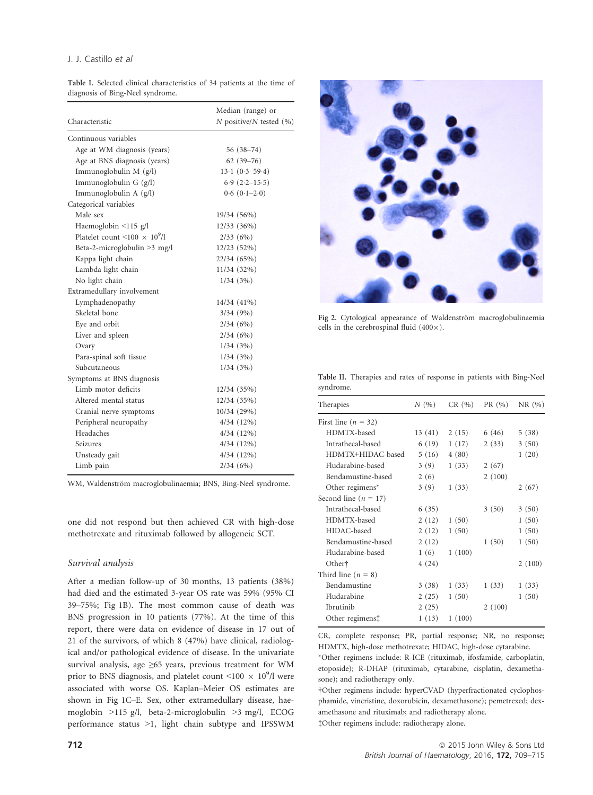## J. J. Castillo et al

Table I. Selected clinical characteristics of 34 patients at the time of diagnosis of Bing-Neel syndrome.

| Characteristic                                  | Median (range) or<br>$N$ positive/ $N$ tested $(\% )$ |  |  |
|-------------------------------------------------|-------------------------------------------------------|--|--|
| Continuous variables                            |                                                       |  |  |
| Age at WM diagnosis (years)                     | $56(38-74)$                                           |  |  |
| Age at BNS diagnosis (years)                    | $62(39 - 76)$                                         |  |  |
| Immunoglobulin $M$ (g/l)                        | $13.1 (0.3 - 59.4)$                                   |  |  |
| Immunoglobulin G (g/l)                          | $6.9(2.2-15.5)$                                       |  |  |
| Immunoglobulin $A$ (g/l)                        | $0.6(0.1-2.0)$                                        |  |  |
| Categorical variables                           |                                                       |  |  |
| Male sex                                        | 19/34 (56%)                                           |  |  |
| Haemoglobin $\leq$ 115 g/l                      | 12/33(36%)                                            |  |  |
| Platelet count <100 $\times$ 10 <sup>9</sup> /l | 2/33(6%)                                              |  |  |
| Beta-2-microglobulin $>3$ mg/l                  | 12/23 (52%)                                           |  |  |
| Kappa light chain                               | 22/34 (65%)                                           |  |  |
| Lambda light chain                              | 11/34 (32%)                                           |  |  |
| No light chain                                  | 1/34(3%)                                              |  |  |
| Extramedullary involvement                      |                                                       |  |  |
| Lymphadenopathy                                 | 14/34 (41%)                                           |  |  |
| Skeletal bone                                   | 3/34(9%)                                              |  |  |
| Eye and orbit                                   | 2/34(6%)                                              |  |  |
| Liver and spleen                                | 2/34(6%)                                              |  |  |
| Ovary                                           | 1/34(3%)                                              |  |  |
| Para-spinal soft tissue                         | 1/34(3%)                                              |  |  |
| Subcutaneous                                    | 1/34(3%)                                              |  |  |
| Symptoms at BNS diagnosis                       |                                                       |  |  |
| Limb motor deficits                             | 12/34 (35%)                                           |  |  |
| Altered mental status                           | 12/34 (35%)                                           |  |  |
| Cranial nerve symptoms                          | 10/34 (29%)                                           |  |  |
| Peripheral neuropathy                           | 4/34(12%)                                             |  |  |
| Headaches                                       | 4/34(12%)                                             |  |  |
| Seizures                                        | 4/34 (12%)                                            |  |  |
| Unsteady gait                                   | 4/34(12%)                                             |  |  |
| Limb pain                                       | 2/34(6%)                                              |  |  |

WM, Waldenström macroglobulinaemia; BNS, Bing-Neel syndrome.

one did not respond but then achieved CR with high-dose methotrexate and rituximab followed by allogeneic SCT.

#### Survival analysis

After a median follow-up of 30 months, 13 patients (38%) had died and the estimated 3-year OS rate was 59% (95% CI 39–75%; Fig 1B). The most common cause of death was BNS progression in 10 patients (77%). At the time of this report, there were data on evidence of disease in 17 out of 21 of the survivors, of which 8 (47%) have clinical, radiological and/or pathological evidence of disease. In the univariate survival analysis, age ≥65 years, previous treatment for WM prior to BNS diagnosis, and platelet count <100  $\times$  10<sup>9</sup>/l were associated with worse OS. Kaplan–Meier OS estimates are shown in Fig 1C–E. Sex, other extramedullary disease, haemoglobin >115 g/l, beta-2-microglobulin >3 mg/l, ECOG performance status >1, light chain subtype and IPSSWM



Fig 2. Cytological appearance of Waldenström macroglobulinaemia cells in the cerebrospinal fluid  $(400\times)$ .

Table II. Therapies and rates of response in patients with Bing-Neel syndrome.

| Therapies                   | N(%)   | CR(%)  | PR (%) | NR(%)  |
|-----------------------------|--------|--------|--------|--------|
| First line $(n = 32)$       |        |        |        |        |
| HDMTX-based                 | 13(41) | 2(15)  | 6 (46) | 5(38)  |
| Intrathecal-based           | 6 (19) | 1(17)  | 2(33)  | 3(50)  |
| HDMTX+HIDAC-based           | 5(16)  | 4(80)  |        | 1(20)  |
| Fludarabine-based           | 3(9)   | 1(33)  | 2(67)  |        |
| Bendamustine-based          | 2(6)   |        | 2(100) |        |
| Other regimens $*$          | 3(9)   | 1(33)  |        | 2(67)  |
| Second line ( $n = 17$ )    |        |        |        |        |
| Intrathecal-based           | 6(35)  |        | 3(50)  | 3(50)  |
| HDMTX-based                 | 2(12)  | 1(50)  |        | 1(50)  |
| HIDAC-based                 | 2(12)  | 1(50)  |        | 1(50)  |
| Bendamustine-based          | 2(12)  |        | 1(50)  | 1(50)  |
| Fludarabine-based           | 1(6)   | 1(100) |        |        |
| Other†                      | 4(24)  |        |        | 2(100) |
| Third line $(n = 8)$        |        |        |        |        |
| Bendamustine                | 3(38)  | 1(33)  | 1(33)  | 1(33)  |
| Fludarabine                 | 2(25)  | 1(50)  |        | 1(50)  |
| Ibrutinib                   | 2(25)  |        | 2(100) |        |
| Other regimens <sup>†</sup> | 1(13)  | 1(100) |        |        |

CR, complete response; PR, partial response; NR, no response; HDMTX, high-dose methotrexate; HIDAC, high-dose cytarabine.

\*Other regimens include: R-ICE (rituximab, ifosfamide, carboplatin, etoposide); R-DHAP (rituximab, cytarabine, cisplatin, dexamethasone); and radiotherapy only.

†Other regimens include: hyperCVAD (hyperfractionated cyclophosphamide, vincristine, doxorubicin, dexamethasone); pemetrexed; dexamethasone and rituximab; and radiotherapy alone. ‡Other regimens include: radiotherapy alone.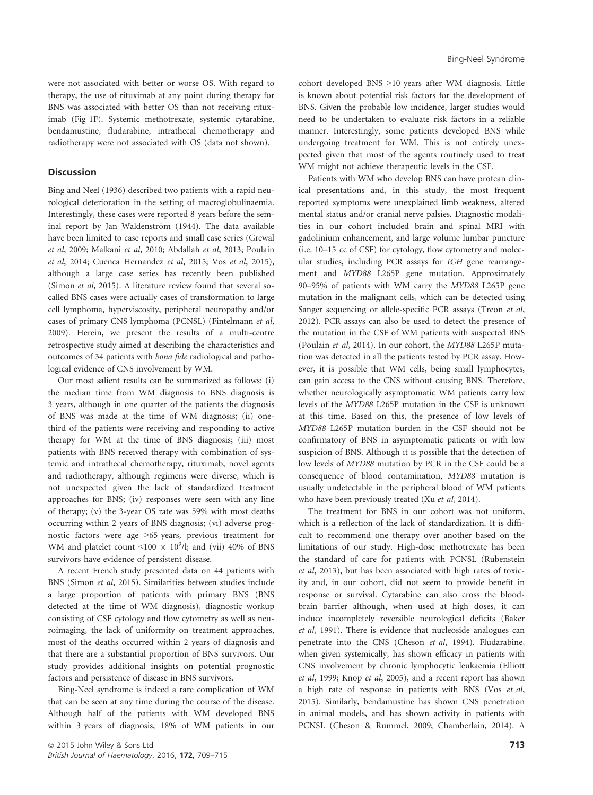were not associated with better or worse OS. With regard to therapy, the use of rituximab at any point during therapy for BNS was associated with better OS than not receiving rituximab (Fig 1F). Systemic methotrexate, systemic cytarabine, bendamustine, fludarabine, intrathecal chemotherapy and radiotherapy were not associated with OS (data not shown).

#### **Discussion**

Bing and Neel (1936) described two patients with a rapid neurological deterioration in the setting of macroglobulinaemia. Interestingly, these cases were reported 8 years before the seminal report by Jan Waldenström (1944). The data available have been limited to case reports and small case series (Grewal et al, 2009; Malkani et al, 2010; Abdallah et al, 2013; Poulain et al, 2014; Cuenca Hernandez et al, 2015; Vos et al, 2015), although a large case series has recently been published (Simon et al, 2015). A literature review found that several socalled BNS cases were actually cases of transformation to large cell lymphoma, hyperviscosity, peripheral neuropathy and/or cases of primary CNS lymphoma (PCNSL) (Fintelmann et al, 2009). Herein, we present the results of a multi-centre retrospective study aimed at describing the characteristics and outcomes of 34 patients with bona fide radiological and pathological evidence of CNS involvement by WM.

Our most salient results can be summarized as follows: (i) the median time from WM diagnosis to BNS diagnosis is 3 years, although in one quarter of the patients the diagnosis of BNS was made at the time of WM diagnosis; (ii) onethird of the patients were receiving and responding to active therapy for WM at the time of BNS diagnosis; (iii) most patients with BNS received therapy with combination of systemic and intrathecal chemotherapy, rituximab, novel agents and radiotherapy, although regimens were diverse, which is not unexpected given the lack of standardized treatment approaches for BNS; (iv) responses were seen with any line of therapy; (v) the 3-year OS rate was 59% with most deaths occurring within 2 years of BNS diagnosis; (vi) adverse prognostic factors were age >65 years, previous treatment for WM and platelet count <100  $\times$  10<sup>9</sup>/l; and (vii) 40% of BNS survivors have evidence of persistent disease.

A recent French study presented data on 44 patients with BNS (Simon et al, 2015). Similarities between studies include a large proportion of patients with primary BNS (BNS detected at the time of WM diagnosis), diagnostic workup consisting of CSF cytology and flow cytometry as well as neuroimaging, the lack of uniformity on treatment approaches, most of the deaths occurred within 2 years of diagnosis and that there are a substantial proportion of BNS survivors. Our study provides additional insights on potential prognostic factors and persistence of disease in BNS survivors.

Bing-Neel syndrome is indeed a rare complication of WM that can be seen at any time during the course of the disease. Although half of the patients with WM developed BNS within 3 years of diagnosis, 18% of WM patients in our cohort developed BNS >10 years after WM diagnosis. Little is known about potential risk factors for the development of BNS. Given the probable low incidence, larger studies would need to be undertaken to evaluate risk factors in a reliable manner. Interestingly, some patients developed BNS while undergoing treatment for WM. This is not entirely unexpected given that most of the agents routinely used to treat WM might not achieve therapeutic levels in the CSF.

Patients with WM who develop BNS can have protean clinical presentations and, in this study, the most frequent reported symptoms were unexplained limb weakness, altered mental status and/or cranial nerve palsies. Diagnostic modalities in our cohort included brain and spinal MRI with gadolinium enhancement, and large volume lumbar puncture (i.e. 10–15 cc of CSF) for cytology, flow cytometry and molecular studies, including PCR assays for IGH gene rearrangement and MYD88 L265P gene mutation. Approximately 90–95% of patients with WM carry the MYD88 L265P gene mutation in the malignant cells, which can be detected using Sanger sequencing or allele-specific PCR assays (Treon et al, 2012). PCR assays can also be used to detect the presence of the mutation in the CSF of WM patients with suspected BNS (Poulain et al, 2014). In our cohort, the MYD88 L265P mutation was detected in all the patients tested by PCR assay. However, it is possible that WM cells, being small lymphocytes, can gain access to the CNS without causing BNS. Therefore, whether neurologically asymptomatic WM patients carry low levels of the MYD88 L265P mutation in the CSF is unknown at this time. Based on this, the presence of low levels of MYD88 L265P mutation burden in the CSF should not be confirmatory of BNS in asymptomatic patients or with low suspicion of BNS. Although it is possible that the detection of low levels of MYD88 mutation by PCR in the CSF could be a consequence of blood contamination, MYD88 mutation is usually undetectable in the peripheral blood of WM patients who have been previously treated (Xu et al, 2014).

The treatment for BNS in our cohort was not uniform, which is a reflection of the lack of standardization. It is difficult to recommend one therapy over another based on the limitations of our study. High-dose methotrexate has been the standard of care for patients with PCNSL (Rubenstein et al, 2013), but has been associated with high rates of toxicity and, in our cohort, did not seem to provide benefit in response or survival. Cytarabine can also cross the bloodbrain barrier although, when used at high doses, it can induce incompletely reversible neurological deficits (Baker et al, 1991). There is evidence that nucleoside analogues can penetrate into the CNS (Cheson et al, 1994). Fludarabine, when given systemically, has shown efficacy in patients with CNS involvement by chronic lymphocytic leukaemia (Elliott et al, 1999; Knop et al, 2005), and a recent report has shown a high rate of response in patients with BNS (Vos et al, 2015). Similarly, bendamustine has shown CNS penetration in animal models, and has shown activity in patients with PCNSL (Cheson & Rummel, 2009; Chamberlain, 2014). A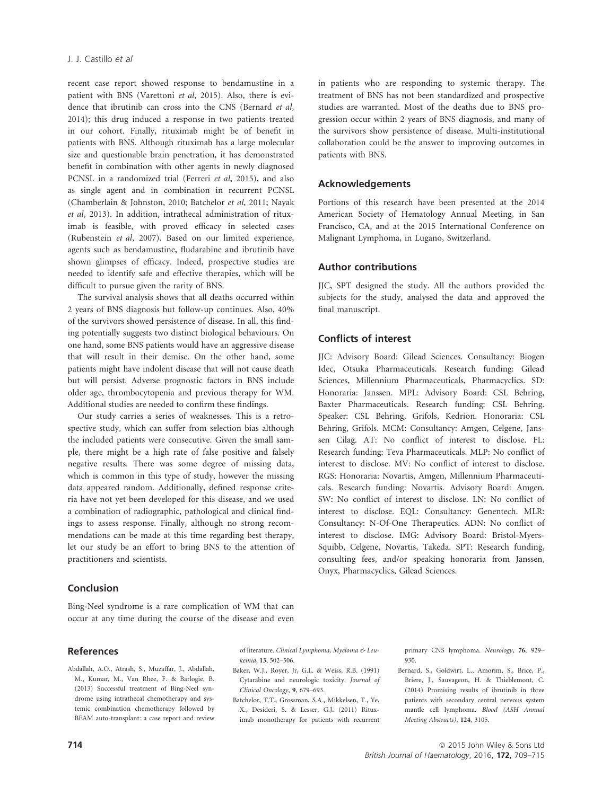recent case report showed response to bendamustine in a patient with BNS (Varettoni et al, 2015). Also, there is evidence that ibrutinib can cross into the CNS (Bernard et al, 2014); this drug induced a response in two patients treated in our cohort. Finally, rituximab might be of benefit in patients with BNS. Although rituximab has a large molecular size and questionable brain penetration, it has demonstrated benefit in combination with other agents in newly diagnosed PCNSL in a randomized trial (Ferreri et al, 2015), and also as single agent and in combination in recurrent PCNSL (Chamberlain & Johnston, 2010; Batchelor et al, 2011; Nayak et al, 2013). In addition, intrathecal administration of rituximab is feasible, with proved efficacy in selected cases (Rubenstein et al, 2007). Based on our limited experience, agents such as bendamustine, fludarabine and ibrutinib have shown glimpses of efficacy. Indeed, prospective studies are needed to identify safe and effective therapies, which will be difficult to pursue given the rarity of BNS.

The survival analysis shows that all deaths occurred within 2 years of BNS diagnosis but follow-up continues. Also, 40% of the survivors showed persistence of disease. In all, this finding potentially suggests two distinct biological behaviours. On one hand, some BNS patients would have an aggressive disease that will result in their demise. On the other hand, some patients might have indolent disease that will not cause death but will persist. Adverse prognostic factors in BNS include older age, thrombocytopenia and previous therapy for WM. Additional studies are needed to confirm these findings.

Our study carries a series of weaknesses. This is a retrospective study, which can suffer from selection bias although the included patients were consecutive. Given the small sample, there might be a high rate of false positive and falsely negative results. There was some degree of missing data, which is common in this type of study, however the missing data appeared random. Additionally, defined response criteria have not yet been developed for this disease, and we used a combination of radiographic, pathological and clinical findings to assess response. Finally, although no strong recommendations can be made at this time regarding best therapy, let our study be an effort to bring BNS to the attention of practitioners and scientists.

in patients who are responding to systemic therapy. The treatment of BNS has not been standardized and prospective studies are warranted. Most of the deaths due to BNS progression occur within 2 years of BNS diagnosis, and many of the survivors show persistence of disease. Multi-institutional collaboration could be the answer to improving outcomes in patients with BNS.

## Acknowledgements

Portions of this research have been presented at the 2014 American Society of Hematology Annual Meeting, in San Francisco, CA, and at the 2015 International Conference on Malignant Lymphoma, in Lugano, Switzerland.

## Author contributions

JJC, SPT designed the study. All the authors provided the subjects for the study, analysed the data and approved the final manuscript.

## Conflicts of interest

JJC: Advisory Board: Gilead Sciences. Consultancy: Biogen Idec, Otsuka Pharmaceuticals. Research funding: Gilead Sciences, Millennium Pharmaceuticals, Pharmacyclics. SD: Honoraria: Janssen. MPL: Advisory Board: CSL Behring, Baxter Pharmaceuticals. Research funding: CSL Behring. Speaker: CSL Behring, Grifols, Kedrion. Honoraria: CSL Behring, Grifols. MCM: Consultancy: Amgen, Celgene, Janssen Cilag. AT: No conflict of interest to disclose. FL: Research funding: Teva Pharmaceuticals. MLP: No conflict of interest to disclose. MV: No conflict of interest to disclose. RGS: Honoraria: Novartis, Amgen, Millennium Pharmaceuticals. Research funding: Novartis. Advisory Board: Amgen. SW: No conflict of interest to disclose. LN: No conflict of interest to disclose. EQL: Consultancy: Genentech. MLR: Consultancy: N-Of-One Therapeutics. ADN: No conflict of interest to disclose. IMG: Advisory Board: Bristol-Myers-Squibb, Celgene, Novartis, Takeda. SPT: Research funding, consulting fees, and/or speaking honoraria from Janssen, Onyx, Pharmacyclics, Gilead Sciences.

#### Conclusion

Bing-Neel syndrome is a rare complication of WM that can occur at any time during the course of the disease and even

> primary CNS lymphoma. Neurology, 76, 929– 930.

Bernard, S., Goldwirt, L., Amorim, S., Brice, P., Briere, J., Sauvageon, H. & Thieblemont, C. (2014) Promising results of ibrutinib in three patients with secondary central nervous system mantle cell lymphoma. Blood (ASH Annual Meeting Abstracts), 124, 3105.

## References

Abdallah, A.O., Atrash, S., Muzaffar, J., Abdallah, M., Kumar, M., Van Rhee, F. & Barlogie, B. (2013) Successful treatment of Bing-Neel syndrome using intrathecal chemotherapy and systemic combination chemotherapy followed by BEAM auto-transplant: a case report and review of literature. Clinical Lymphoma, Myeloma & Leukemia, 13, 502–506.

- Baker, W.J., Royer, Jr, G.L. & Weiss, R.B. (1991) Cytarabine and neurologic toxicity. Journal of Clinical Oncology, 9, 679–693.
- Batchelor, T.T., Grossman, S.A., Mikkelsen, T., Ye, X., Desideri, S. & Lesser, G.J. (2011) Rituximab monotherapy for patients with recurrent

**714 2015 John Wiley & Sons Ltd** British Journal of Haematology, 2016, 172, 709-715